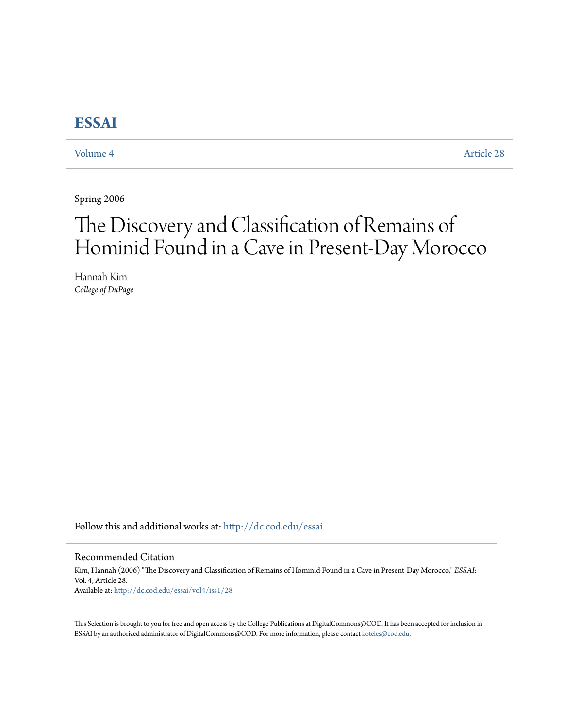# **[ESSAI](http://dc.cod.edu/essai?utm_source=dc.cod.edu%2Fessai%2Fvol4%2Fiss1%2F28&utm_medium=PDF&utm_campaign=PDFCoverPages)**

[Volume 4](http://dc.cod.edu/essai/vol4?utm_source=dc.cod.edu%2Fessai%2Fvol4%2Fiss1%2F28&utm_medium=PDF&utm_campaign=PDFCoverPages) [Article 28](http://dc.cod.edu/essai/vol4/iss1/28?utm_source=dc.cod.edu%2Fessai%2Fvol4%2Fiss1%2F28&utm_medium=PDF&utm_campaign=PDFCoverPages)

Spring 2006

# The Discovery and Classification of Remains of Hominid Found in a Cave in Present-Day Morocco

Hannah Kim *College of DuPage*

Follow this and additional works at: [http://dc.cod.edu/essai](http://dc.cod.edu/essai?utm_source=dc.cod.edu%2Fessai%2Fvol4%2Fiss1%2F28&utm_medium=PDF&utm_campaign=PDFCoverPages)

## Recommended Citation

Kim, Hannah (2006) "The Discovery and Classification of Remains of Hominid Found in a Cave in Present-Day Morocco," *ESSAI*: Vol. 4, Article 28. Available at: [http://dc.cod.edu/essai/vol4/iss1/28](http://dc.cod.edu/essai/vol4/iss1/28?utm_source=dc.cod.edu%2Fessai%2Fvol4%2Fiss1%2F28&utm_medium=PDF&utm_campaign=PDFCoverPages)

This Selection is brought to you for free and open access by the College Publications at DigitalCommons@COD. It has been accepted for inclusion in ESSAI by an authorized administrator of DigitalCommons@COD. For more information, please contact [koteles@cod.edu](mailto:koteles@cod.edu).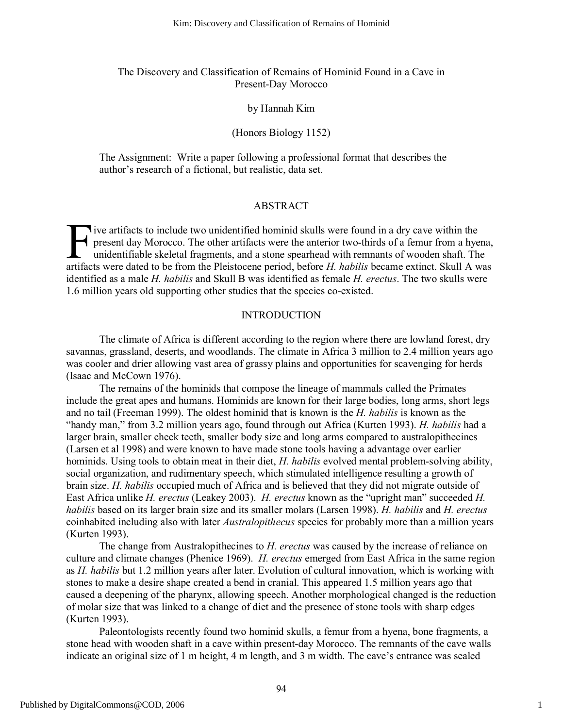# The Discovery and Classification of Remains of Hominid Found in a Cave in Present-Day Morocco

## by Hannah Kim

# (Honors Biology 1152)

The Assignment: Write a paper following a professional format that describes the author's research of a fictional, but realistic, data set.

#### ABSTRACT

**T** ive artifacts to include two unidentified hominid skulls were found in a dry cave within the present day Morocco. The other artifacts were the anterior two-thirds of a femur from a hyena, unidentifiable skeletal fragments, and a stone spearhead with remnants of wooden shaft. The I've artifacts to include two unidentified hominid skulls were found in a dry cave within the present day Morocco. The other artifacts were the anterior two-thirds of a femur from a hyena unidentifiable skeletal fragments, identified as a male *H. habilis* and Skull B was identified as female *H. erectus*. The two skulls were 1.6 million years old supporting other studies that the species co-existed.

#### INTRODUCTION

The climate of Africa is different according to the region where there are lowland forest, dry savannas, grassland, deserts, and woodlands. The climate in Africa 3 million to 2.4 million years ago was cooler and drier allowing vast area of grassy plains and opportunities for scavenging for herds (Isaac and McCown 1976).

The remains of the hominids that compose the lineage of mammals called the Primates include the great apes and humans. Hominids are known for their large bodies, long arms, short legs and no tail (Freeman 1999). The oldest hominid that is known is the *H. habilis* is known as the "handy man," from 3.2 million years ago, found through out Africa (Kurten 1993). *H. habilis* had a larger brain, smaller cheek teeth, smaller body size and long arms compared to australopithecines (Larsen et al 1998) and were known to have made stone tools having a advantage over earlier hominids. Using tools to obtain meat in their diet, *H. habilis* evolved mental problem-solving ability, social organization, and rudimentary speech, which stimulated intelligence resulting a growth of brain size. *H. habilis* occupied much of Africa and is believed that they did not migrate outside of East Africa unlike *H. erectus* (Leakey 2003). *H. erectus* known as the "upright man" succeeded *H. habilis* based on its larger brain size and its smaller molars (Larsen 1998). *H. habilis* and *H. erectus* coinhabited including also with later *Australopithecus* species for probably more than a million years (Kurten 1993).

The change from Australopithecines to *H. erectus* was caused by the increase of reliance on culture and climate changes (Phenice 1969). *H. erectus* emerged from East Africa in the same region as *H. habilis* but 1.2 million years after later. Evolution of cultural innovation, which is working with stones to make a desire shape created a bend in cranial. This appeared 1.5 million years ago that caused a deepening of the pharynx, allowing speech. Another morphological changed is the reduction of molar size that was linked to a change of diet and the presence of stone tools with sharp edges (Kurten 1993).

Paleontologists recently found two hominid skulls, a femur from a hyena, bone fragments, a stone head with wooden shaft in a cave within present-day Morocco. The remnants of the cave walls indicate an original size of 1 m height, 4 m length, and 3 m width. The cave's entrance was sealed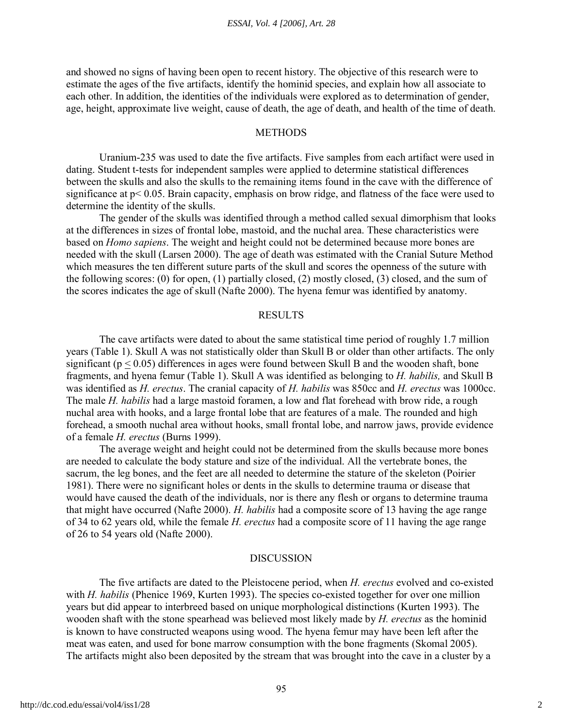and showed no signs of having been open to recent history. The objective of this research were to estimate the ages of the five artifacts, identify the hominid species, and explain how all associate to each other. In addition, the identities of the individuals were explored as to determination of gender, age, height, approximate live weight, cause of death, the age of death, and health of the time of death.

# **METHODS**

Uranium-235 was used to date the five artifacts. Five samples from each artifact were used in dating. Student t-tests for independent samples were applied to determine statistical differences between the skulls and also the skulls to the remaining items found in the cave with the difference of significance at p< 0.05. Brain capacity, emphasis on brow ridge, and flatness of the face were used to determine the identity of the skulls.

The gender of the skulls was identified through a method called sexual dimorphism that looks at the differences in sizes of frontal lobe, mastoid, and the nuchal area. These characteristics were based on *Homo sapiens*. The weight and height could not be determined because more bones are needed with the skull (Larsen 2000). The age of death was estimated with the Cranial Suture Method which measures the ten different suture parts of the skull and scores the openness of the suture with the following scores: (0) for open, (1) partially closed, (2) mostly closed, (3) closed, and the sum of the scores indicates the age of skull (Nafte 2000). The hyena femur was identified by anatomy.

#### **RESULTS**

The cave artifacts were dated to about the same statistical time period of roughly 1.7 million years (Table 1). Skull A was not statistically older than Skull B or older than other artifacts. The only significant ( $p < 0.05$ ) differences in ages were found between Skull B and the wooden shaft, bone fragments, and hyena femur (Table 1). Skull A was identified as belonging to *H. habilis,* and Skull B was identified as *H. erectus*. The cranial capacity of *H. habilis* was 850cc and *H. erectus* was 1000cc. The male *H. habilis* had a large mastoid foramen, a low and flat forehead with brow ride, a rough nuchal area with hooks, and a large frontal lobe that are features of a male. The rounded and high forehead, a smooth nuchal area without hooks, small frontal lobe, and narrow jaws, provide evidence of a female *H. erectus* (Burns 1999).

The average weight and height could not be determined from the skulls because more bones are needed to calculate the body stature and size of the individual. All the vertebrate bones, the sacrum, the leg bones, and the feet are all needed to determine the stature of the skeleton (Poirier 1981). There were no significant holes or dents in the skulls to determine trauma or disease that would have caused the death of the individuals, nor is there any flesh or organs to determine trauma that might have occurred (Nafte 2000). *H. habilis* had a composite score of 13 having the age range of 34 to 62 years old, while the female *H. erectus* had a composite score of 11 having the age range of 26 to 54 years old (Nafte 2000).

#### **DISCUSSION**

The five artifacts are dated to the Pleistocene period, when *H. erectus* evolved and co-existed with *H. habilis* (Phenice 1969, Kurten 1993). The species co-existed together for over one million years but did appear to interbreed based on unique morphological distinctions (Kurten 1993). The wooden shaft with the stone spearhead was believed most likely made by *H. erectus* as the hominid is known to have constructed weapons using wood. The hyena femur may have been left after the meat was eaten, and used for bone marrow consumption with the bone fragments (Skomal 2005). The artifacts might also been deposited by the stream that was brought into the cave in a cluster by a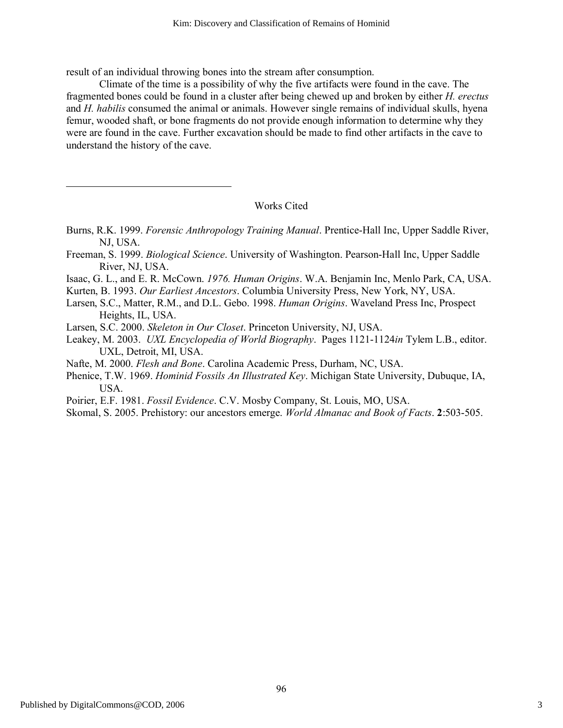result of an individual throwing bones into the stream after consumption.

Climate of the time is a possibility of why the five artifacts were found in the cave. The fragmented bones could be found in a cluster after being chewed up and broken by either *H. erectus* and *H. habilis* consumed the animal or animals. However single remains of individual skulls, hyena femur, wooded shaft, or bone fragments do not provide enough information to determine why they were are found in the cave. Further excavation should be made to find other artifacts in the cave to understand the history of the cave.

# Works Cited

- Burns, R.K. 1999. *Forensic Anthropology Training Manual*. Prentice-Hall Inc, Upper Saddle River, NJ, USA.
- Freeman, S. 1999. *Biological Science*. University of Washington. Pearson-Hall Inc, Upper Saddle River, NJ, USA.
- Isaac, G. L., and E. R. McCown. *1976. Human Origins*. W.A. Benjamin Inc, Menlo Park, CA, USA.
- Kurten, B. 1993. *Our Earliest Ancestors*. Columbia University Press, New York, NY, USA.
- Larsen, S.C., Matter, R.M., and D.L. Gebo. 1998. *Human Origins*. Waveland Press Inc, Prospect Heights, IL, USA.
- Larsen, S.C. 2000. *Skeleton in Our Closet*. Princeton University, NJ, USA.
- Leakey, M. 2003. *UXL Encyclopedia of World Biography*. Pages 1121-1124*in* Tylem L.B., editor. UXL, Detroit, MI, USA.
- Nafte, M. 2000. *Flesh and Bone*. Carolina Academic Press, Durham, NC, USA.
- Phenice, T.W. 1969. *Hominid Fossils An Illustrated Key*. Michigan State University, Dubuque, IA, USA.
- Poirier, E.F. 1981. *Fossil Evidence*. C.V. Mosby Company, St. Louis, MO, USA.
- Skomal, S. 2005. Prehistory: our ancestors emerge. *World Almanac and Book of Facts*. **2**:503-505.